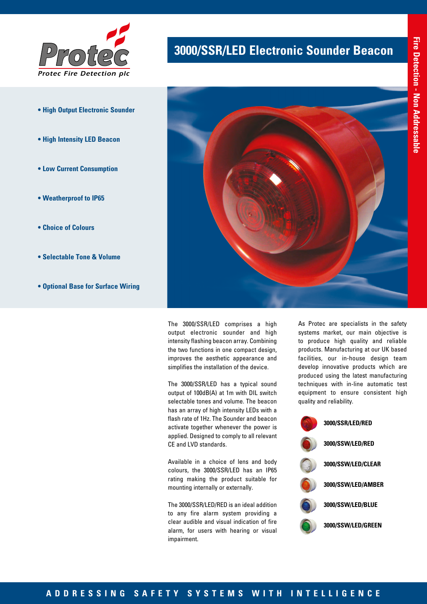

- **High Output Electronic Sounder**
- **High Intensity LED Beacon**
- **Low Current Consumption**
- **Weatherproof to IP65**
- **Choice of Colours**
- **Selectable Tone & Volume**
- **Optional Base for Surface Wiring**

# **3000/SSR/LED Electronic Sounder Beacon**



The 3000/SSR/LED comprises a high output electronic sounder and high intensity flashing beacon array. Combining the two functions in one compact design, improves the aesthetic appearance and simplifies the installation of the device.

The 3000/SSR/LED has a typical sound output of 100dB(A) at 1m with DIL switch selectable tones and volume. The beacon has an array of high intensity LEDs with a flash rate of 1Hz. The Sounder and beacon activate together whenever the power is applied. Designed to comply to all relevant CE and LVD standards.

Available in a choice of lens and body colours, the 3000/SSR/LED has an IP65 rating making the product suitable for mounting internally or externally.

The 3000/SSR/LED/RED is an ideal addition to any fire alarm system providing a clear audible and visual indication of fire alarm, for users with hearing or visual impairment.

As Protec are specialists in the safety systems market, our main objective is to produce high quality and reliable products. Manufacturing at our UK based facilities, our in-house design team develop innovative products which are produced using the latest manufacturing techniques with in-line automatic test equipment to ensure consistent high quality and reliability.